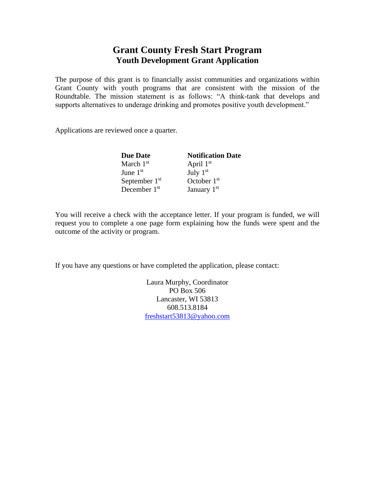## **Grant County Fresh Start Program Youth Development Grant Application**

The purpose of this grant is to financially assist communities and organizations within Grant County with youth programs that are consistent with the mission of the Roundtable. The mission statement is as follows: "A think-tank that develops and supports alternatives to underage drinking and promotes positive youth development."

Applications are reviewed once a quarter.

| <b>Due Date</b> | <b>Notification Date</b> |
|-----------------|--------------------------|
| March $1st$     | April $1st$              |
| June $1st$      | July $1st$               |
| September $1st$ | October $1st$            |
| December $1st$  | January $1st$            |

You will receive a check with the acceptance letter. If your program is funded, we will request you to complete a one page form explaining how the funds were spent and the outcome of the activity or program.

If you have any questions or have completed the application, please contact:

Laura Murphy, Coordinator PO Box 506 Lancaster, WI 53813 608.513.8184 [freshstart53813@yahoo.com](mailto:freshstart53813@yahoo.com)